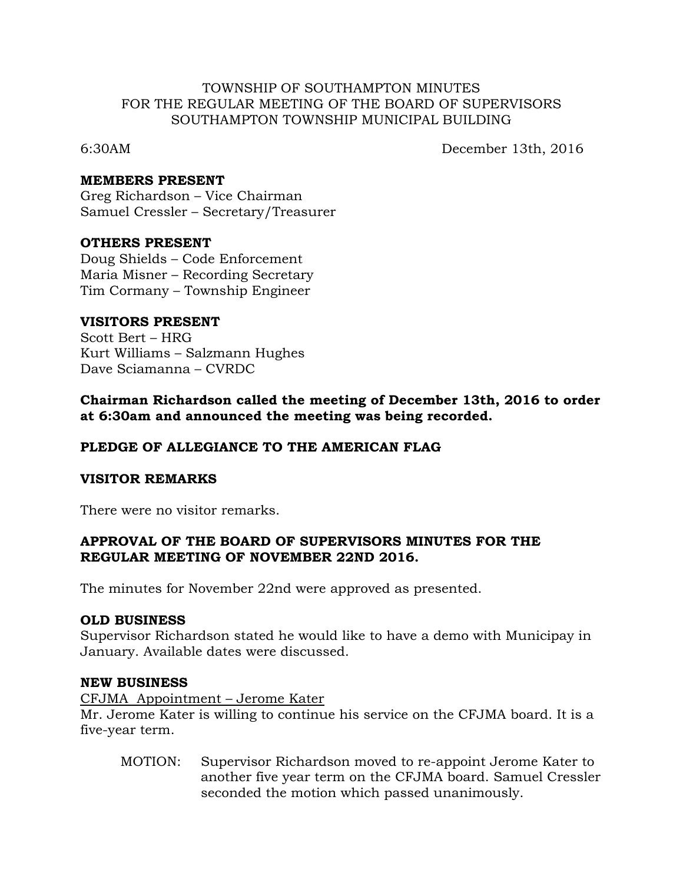### TOWNSHIP OF SOUTHAMPTON MINUTES FOR THE REGULAR MEETING OF THE BOARD OF SUPERVISORS SOUTHAMPTON TOWNSHIP MUNICIPAL BUILDING

6:30AM December 13th, 2016

### **MEMBERS PRESENT**

Greg Richardson – Vice Chairman Samuel Cressler – Secretary/Treasurer

#### **OTHERS PRESENT**

Doug Shields – Code Enforcement Maria Misner – Recording Secretary Tim Cormany – Township Engineer

#### **VISITORS PRESENT**

Scott Bert – HRG Kurt Williams – Salzmann Hughes Dave Sciamanna – CVRDC

**Chairman Richardson called the meeting of December 13th, 2016 to order at 6:30am and announced the meeting was being recorded.**

## **PLEDGE OF ALLEGIANCE TO THE AMERICAN FLAG**

## **VISITOR REMARKS**

There were no visitor remarks.

## **APPROVAL OF THE BOARD OF SUPERVISORS MINUTES FOR THE REGULAR MEETING OF NOVEMBER 22ND 2016.**

The minutes for November 22nd were approved as presented.

## **OLD BUSINESS**

Supervisor Richardson stated he would like to have a demo with Municipay in January. Available dates were discussed.

#### **NEW BUSINESS**

CFJMA Appointment – Jerome Kater

Mr. Jerome Kater is willing to continue his service on the CFJMA board. It is a five-year term.

MOTION: Supervisor Richardson moved to re-appoint Jerome Kater to another five year term on the CFJMA board. Samuel Cressler seconded the motion which passed unanimously.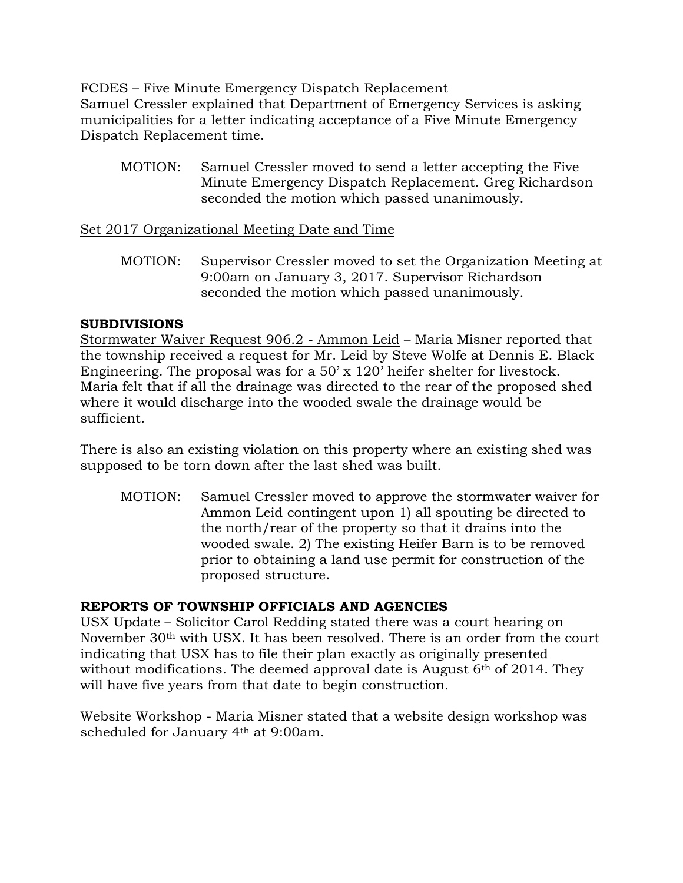FCDES – Five Minute Emergency Dispatch Replacement

Samuel Cressler explained that Department of Emergency Services is asking municipalities for a letter indicating acceptance of a Five Minute Emergency Dispatch Replacement time.

MOTION: Samuel Cressler moved to send a letter accepting the Five Minute Emergency Dispatch Replacement. Greg Richardson seconded the motion which passed unanimously.

# Set 2017 Organizational Meeting Date and Time

MOTION: Supervisor Cressler moved to set the Organization Meeting at 9:00am on January 3, 2017. Supervisor Richardson seconded the motion which passed unanimously.

# **SUBDIVISIONS**

Stormwater Waiver Request 906.2 - Ammon Leid – Maria Misner reported that the township received a request for Mr. Leid by Steve Wolfe at Dennis E. Black Engineering. The proposal was for a 50' x 120' heifer shelter for livestock. Maria felt that if all the drainage was directed to the rear of the proposed shed where it would discharge into the wooded swale the drainage would be sufficient.

There is also an existing violation on this property where an existing shed was supposed to be torn down after the last shed was built.

MOTION: Samuel Cressler moved to approve the stormwater waiver for Ammon Leid contingent upon 1) all spouting be directed to the north/rear of the property so that it drains into the wooded swale. 2) The existing Heifer Barn is to be removed prior to obtaining a land use permit for construction of the proposed structure.

# **REPORTS OF TOWNSHIP OFFICIALS AND AGENCIES**

USX Update – Solicitor Carol Redding stated there was a court hearing on November 30th with USX. It has been resolved. There is an order from the court indicating that USX has to file their plan exactly as originally presented without modifications. The deemed approval date is August  $6<sup>th</sup>$  of 2014. They will have five years from that date to begin construction.

Website Workshop - Maria Misner stated that a website design workshop was scheduled for January 4th at 9:00am.